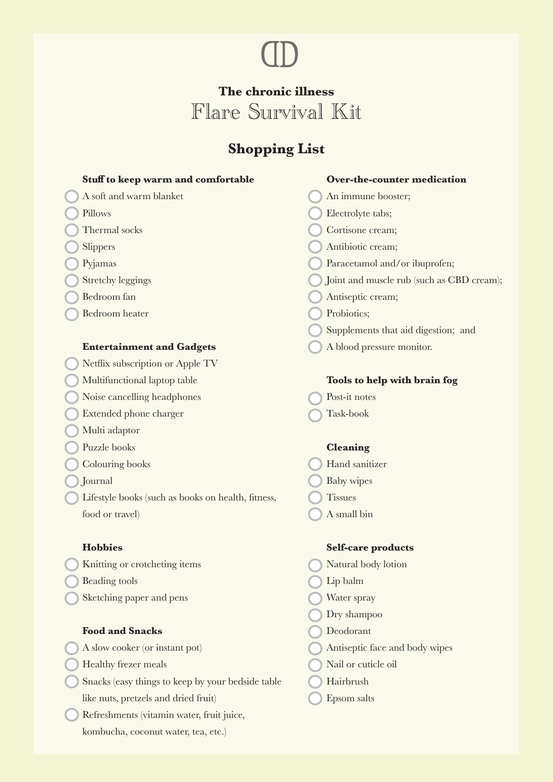## **The chronic illness** Flare Survival Kit

**CD** 

## **Shopping List**

| Stuff to keep warm and comfortable                 | Over-the-counter medication               |
|----------------------------------------------------|-------------------------------------------|
| A soft and warm blanket                            | An immune booster;                        |
| Pillows                                            | Electrolyte tabs;                         |
| Thermal socks                                      | Cortisone cream;                          |
| Slippers                                           | Antibiotic cream;                         |
| Pyjamas                                            | Paracetamol and/or ibuprofen;             |
| <b>Stretchy leggings</b>                           | Joint and muscle rub (such as CBD cream); |
| Bedroom fan                                        | Antiseptic cream;                         |
| <b>Bedroom</b> heater                              | Probiotics;                               |
|                                                    | Supplements that aid digestion; and       |
| <b>Entertainment and Gadgets</b>                   | A blood pressure monitor.                 |
| Netflix subscription or Apple TV                   |                                           |
| Multifunctional laptop table                       | Tools to help with brain fog              |
| Noise cancelling headphones                        | Post-it notes                             |
| Extended phone charger                             | Task-book                                 |
| Multi adaptor                                      |                                           |
| Puzzle books                                       | <b>Cleaning</b>                           |
| Colouring books                                    | Hand sanitizer                            |
| Journal                                            | Baby wipes                                |
| Lifestyle books (such as books on health, fitness, | <b>Tissues</b>                            |
| food or travel)                                    | A small bin                               |
| <b>Hobbies</b>                                     | <b>Self-care products</b>                 |
| Knitting or crotcheting items                      | Natural body lotion                       |
| <b>Beading tools</b>                               | Lip balm                                  |
| Sketching paper and pens                           | Water spray                               |
|                                                    | Dry shampoo                               |
| <b>Food and Snacks</b>                             | Deodorant                                 |
| A slow cooker (or instant pot)                     | Antiseptic face and body wipes            |
| Healthy frezer meals                               | Nail or cuticle oil                       |
| Snacks (easy things to keep by your bedside table  | Hairbrush                                 |
| like nuts, pretzels and dried fruit)               | Epsom salts                               |

Refreshments (vitamin water, fruit juice, kombucha, coconut water, tea, etc.)